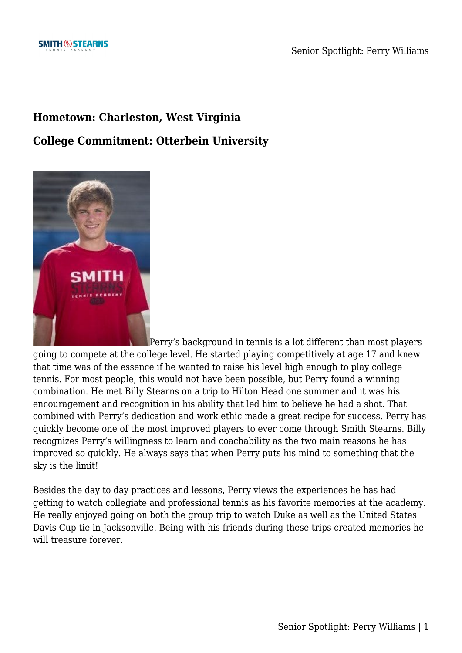## **Hometown: Charleston, West Virginia**

## **College Commitment: Otterbein University**



[P](https://www.smithstearns.com/wp-content/uploads/Perry-Williams-Otterbein-University-1.jpg)erry's background in tennis is a lot different than most players going to compete at the college level. He started playing competitively at age 17 and knew that time was of the essence if he wanted to raise his level high enough to play college tennis. For most people, this would not have been possible, but Perry found a winning combination. He met Billy Stearns on a trip to Hilton Head one summer and it was his encouragement and recognition in his ability that led him to believe he had a shot. That combined with Perry's dedication and work ethic made a great recipe for success. Perry has quickly become one of the most improved players to ever come through Smith Stearns. Billy recognizes Perry's willingness to learn and coachability as the two main reasons he has improved so quickly. He always says that when Perry puts his mind to something that the sky is the limit!

Besides the day to day practices and lessons, Perry views the experiences he has had getting to watch collegiate and professional tennis as his favorite memories at the academy. He really enjoyed going on both the group trip to watch Duke as well as the United States Davis Cup tie in Jacksonville. Being with his friends during these trips created memories he will treasure forever.